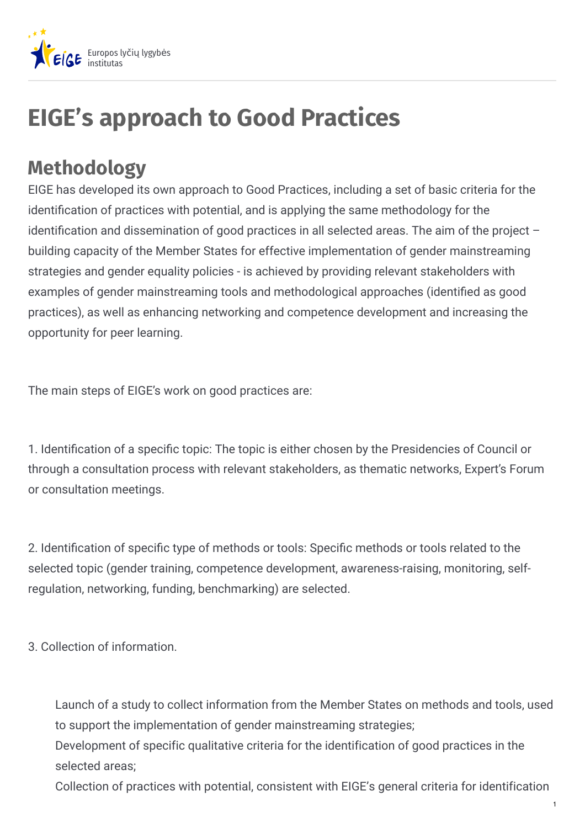

# **EIGE's approach to Good Practices**

### **Methodology**

EIGE has developed its own approach to Good Practices, including a set of basic criteria for the identification of practices with potential, and is applying the same methodology for the identification and dissemination of good practices in all selected areas. The aim of the project  $$ building capacity of the Member States for effective implementation of gender mainstreaming strategies and gender equality policies - is achieved by providing relevant stakeholders with examples of gender mainstreaming tools and methodological approaches (identified as good practices), as well as enhancing networking and competence development and increasing the opportunity for peer learning.

The main steps of EIGE's work on good practices are:

1. Identification of a specific topic: The topic is either chosen by the Presidencies of Council or through a consultation process with relevant stakeholders, as thematic networks, Expert's Forum or consultation meetings.

2. Identification of specific type of methods or tools: Specific methods or tools related to the selected topic (gender training, competence development, awareness-raising, monitoring, selfregulation, networking, funding, benchmarking) are selected.

3. Collection of information.

Launch of a study to collect information from the Member States on methods and tools, used to support the implementation of gender mainstreaming strategies;

Development of specific qualitative criteria for the identification of good practices in the selected areas;

Collection of practices with potential, consistent with EIGE's general criteria for identification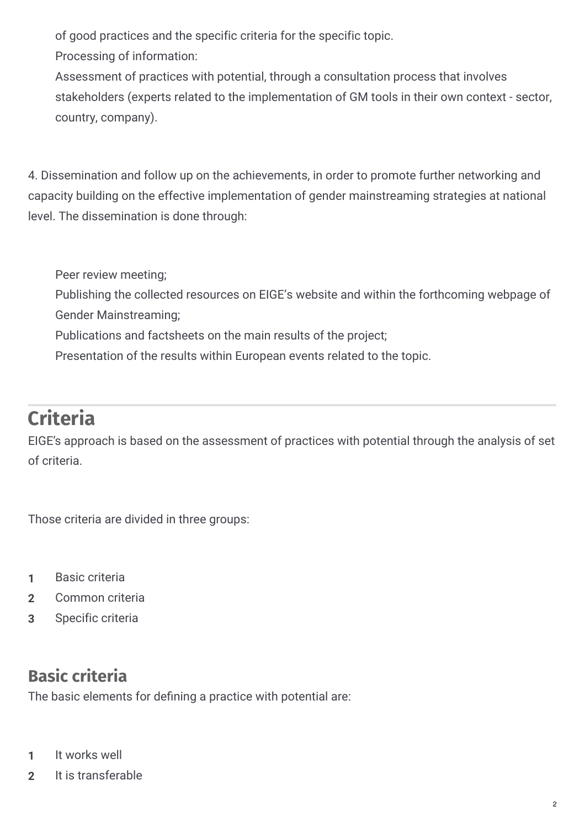of good practices and the specific criteria for the specific topic.

Processing of information:

Assessment of practices with potential, through a consultation process that involves stakeholders (experts related to the implementation of GM tools in their own context - sector, country, company).

4. Dissemination and follow up on the achievements, in order to promote further networking and capacity building on the effective implementation of gender mainstreaming strategies at national level. The dissemination is done through:

Peer review meeting;

Publishing the collected resources on EIGE's website and within the forthcoming webpage of Gender Mainstreaming;

Publications and factsheets on the main results of the project;

Presentation of the results within European events related to the topic.

## **Criteria**

EIGE's approach is based on the assessment of practices with potential through the analysis of set of criteria.

Those criteria are divided in three groups:

- **1** Basic criteria
- **2** Common criteria
- **3** Specific criteria

#### **Basic criteria**

The basic elements for defining a practice with potential are:

- **1** It works well
- **2** It is transferable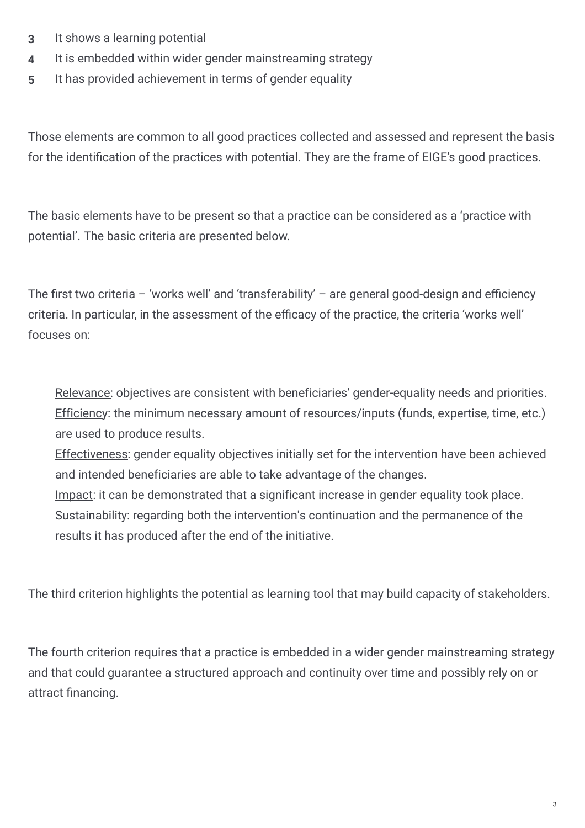- **3** It shows a learning potential
- **4** It is embedded within wider gender mainstreaming strategy
- **5** It has provided achievement in terms of gender equality

Those elements are common to all good practices collected and assessed and represent the basis for the identification of the practices with potential. They are the frame of EIGE's good practices.

The basic elements have to be present so that a practice can be considered as a 'practice with potential'. The basic criteria are presented below.

The first two criteria – 'works well' and 'transferability' – are general good-design and efficiency criteria. In particular, in the assessment of the efficacy of the practice, the criteria 'works well' focuses on:

Relevance: objectives are consistent with beneficiaries' gender-equality needs and priorities. Efficiency: the minimum necessary amount of resources/inputs (funds, expertise, time, etc.) are used to produce results.

Effectiveness: gender equality objectives initially set for the intervention have been achieved and intended beneficiaries are able to take advantage of the changes.

Impact: it can be demonstrated that a significant increase in gender equality took place. Sustainability: regarding both the intervention's continuation and the permanence of the results it has produced after the end of the initiative.

The third criterion highlights the potential as learning tool that may build capacity of stakeholders.

The fourth criterion requires that a practice is embedded in a wider gender mainstreaming strategy and that could guarantee a structured approach and continuity over time and possibly rely on or attract financing.